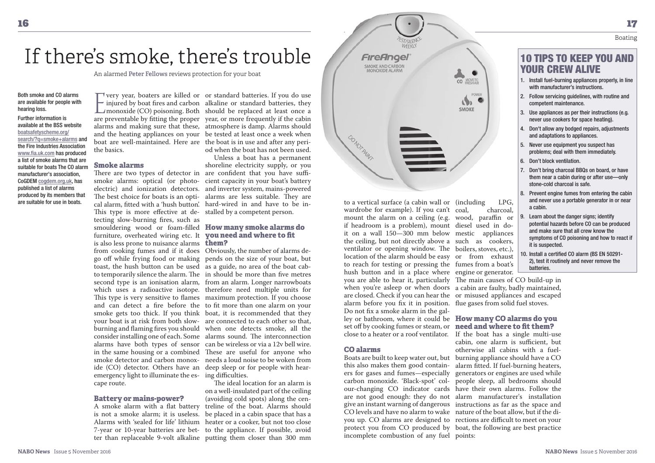## Boating

10 TIPS TO KEEP YOU AND

 1. Install fuel-burning appliances properly, in line with manufacturer's instructions.2. Follow servicing guidelines, with routine and

3. Use appliances as per their instructions (e.g. never use cookers for space heating).4. Don't allow any bodged repairs, adjustments and adaptations to appliances.5. Never use equipment you suspect has problems; deal with them immediately.

7. Don't bring charcoal BBQs on board, or have them near a cabin during or after use—only

and never use a portable generator in or near

 potential hazards before CO can be produced and make sure that all crew know the

YOUR CREW ALIVE

competent maintenance.

6. Don't block ventilation.

a cabin.

stone-cold charcoal is safe.

# If there's smoke, there's trouble

An alarmed **Peter Fellows** reviews protection for your boat

Both smoke and CO alarms are available for people with hearing loss.

Further information is available at the BSS website boatsafetyscheme.org/search/?q=smoke+alarms and the Fire Industries Association www.fia.uk.com has produced a list of smoke alarms that are suitable for boats The CO alarm manufacturer's association, CoGDEM cogdem.org.uk, has published a list of alarms produced by its members that are suitable for use in boats.

the basics.

### **Smoke alarms**

There are two types of detector in are confident that you have suffismoke alarms: optical (or photo-cient capacity in your boat's battery electric) and ionization detectors. and inverter system, mains-powered The best choice for boats is an opti- alarms are less suitable. They are cal alarm, fitted with a 'hush button'. hard-wired in and have to be in-This type is more effective at de- stalled by a competent person. tecting slow-burning fires, such as smouldering wood or foam-filled **How many smoke alarms do**  furniture, overheated wiring etc. It **you need and where to fit**  is also less prone to nuisance alarms **them?** from cooking fumes and if it does Obviously, the number of alarms detoast, the hush button can be used as a guide, no area of the boat cabide (CO) detector. Others have an deep sleep or for people with hearemergency light to illuminate the es- ing difficulties. cape route.

### **Battery or mains-power?**

For vear, boaters are killed or or standard batteries. If you do use<br>injured by boat fires and carbon alkaline or standard batteries, they<br>monoxide (CO) poisoning. Both should be replaced at least once a are preventable by fitting the proper year, or more frequently if the cabin alarms and making sure that these, atmosphere is damp. Alarms should and the heating appliances on your be tested at least once a week when boat are well-maintained. Here are the boat is in use and after any peri- $\blacksquare$  verv vear, boaters are killed or or standard batteries. If you do use  $\blacktriangleright$  injured by boat fires and carbon alkaline or standard batteries, they od when the boat has not been used.

 Unless a boat has a permanent shoreline electricity supply, or you

go off while frying food or making pends on the size of your boat, but to temporarily silence the alarm. The in should be more than five metres second type is an ionisation alarm, from an alarm. Longer narrowboats which uses a radioactive isotope. therefore need multiple units for This type is very sensitive to flames maximum protection. If you choose and can detect a fire before the to fit more than one alarm on your smoke gets too thick. If you think boat, it is recommended that they your boat is at risk from both slow-are connected to each other so that, burning and flaming fires you should when one detects smoke, all the consider installing one of each. Some alarms sound. The interconnection alarms have both types of sensor can be wireless or via a 12v bell wire. in the same housing or a combined These are useful for anyone who smoke detector and carbon monox-needs a loud noise to be woken from

 A smoke alarm with a flat battery treline of the boat. Alarms should is not a smoke alarm; it is useless. be placed in a cabin space that has a Alarms with 'sealed for life' lithium heater or a cooker, but not too close 7-year or 10-year batteries are bet- to the appliance. If possible, avoid ter than replaceable 9-volt alkaline putting them closer than 300 mm The ideal location for an alarm is on a well-insulated part of the ceiling (avoiding cold spots) along the cen-



 wardrobe for example). If you can't mount the alarm on a ceiling (e.g. wood, paraffin or if headroom is a problem), mount diesel used in do it on a wall 150—300 mm below mestic appliances the ceiling, but not directly above a such as cookers, ventilator or opening window. The boilers, stoves, etc.), location of the alarm should be easy or from exhaust to reach for testing or pressing the fumes from a boat's hush button and in a place where engine or generator. you are able to hear it, particularly The main causes of CO build-up in when you're asleep or when doors a cabin are faulty, badly maintained, are closed. Check if you can hear the or misused appliances and escaped alarm before you fix it in position. flue gases from solid fuel stoves. Do not fix a smoke alarm in the galley or bathroom, where it could be **How many CO alarms do you**  set off by cooking fumes or steam, or **need and where to fit them?**

#### **CO alarms**

incomplete combustion of any fuel points:

to a vertical surface (a cabin wall or (including LPG, charcoal. 8. Prevent engine fumes from entering the cabin

9. Learn about the danger signs; identify

 symptoms of CO poisoning and how to react if it is suspected.10. Install a certified CO alarm (BS EN 50291-2), test it routinely and never remove the batteries.

close to a heater or a roof ventilator. If the boat has a single multi-use Boats are built to keep water out, but burning appliance should have a CO this also makes them good contain-alarm fitted. If fuel-burning heaters, ers for gases and fumes—especially generators or engines are used while carbon monoxide. 'Black-spot' col-people sleep, all bedrooms should our-changing CO indicator cards have their own alarms. Follow the are not good enough: they do not alarm manufacturer's installation give an instant warning of dangerous instructions as far as the space and CO levels and have no alarm to wake nature of the boat allow, but if the di you up. CO alarms are designed to rections are difficult to meet on your protect you from CO produced by boat, the following are best practice cabin, one alarm is sufficient, but otherwise all cabins with a fuel-